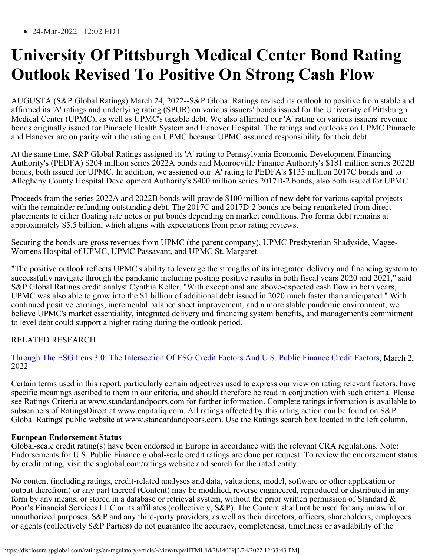24-Mar-2022 | 12:02 EDT

### **University Of Pittsburgh Medical Center Bond Rating Outlook Revised To Positive On Strong Cash Flow**

AUGUSTA (S&P Global Ratings) March 24, 2022--S&P Global Ratings revised its outlook to positive from stable and affirmed its 'A' ratings and underlying rating (SPUR) on various issuers' bonds issued for the University of Pittsburgh Medical Center (UPMC), as well as UPMC's taxable debt. We also affirmed our 'A' rating on various issuers' revenue bonds originally issued for Pinnacle Health System and Hanover Hospital. The ratings and outlooks on UPMC Pinnacle and Hanover are on parity with the rating on UPMC because UPMC assumed responsibility for their debt.

At the same time, S&P Global Ratings assigned its 'A' rating to Pennsylvania Economic Development Financing Authority's (PEDFA) \$204 million series 2022A bonds and Monroeville Finance Authority's \$181 million series 2022B bonds, both issued for UPMC. In addition, we assigned our 'A' rating to PEDFA's \$135 million 2017C bonds and to Allegheny County Hospital Development Authority's \$400 million series 2017D-2 bonds, also both issued for UPMC.

Proceeds from the series 2022A and 2022B bonds will provide \$100 million of new debt for various capital projects with the remainder refunding outstanding debt. The 2017C and 2017D-2 bonds are being remarketed from direct placements to either floating rate notes or put bonds depending on market conditions. Pro forma debt remains at approximately \$5.5 billion, which aligns with expectations from prior rating reviews.

Securing the bonds are gross revenues from UPMC (the parent company), UPMC Presbyterian Shadyside, Magee-Womens Hospital of UPMC, UPMC Passavant, and UPMC St. Margaret.

"The positive outlook reflects UPMC's ability to leverage the strengths of its integrated delivery and financing system to successfully navigate through the pandemic including posting positive results in both fiscal years 2020 and 2021," said S&P Global Ratings credit analyst Cynthia Keller. "With exceptional and above-expected cash flow in both years, UPMC was also able to grow into the \$1 billion of additional debt issued in 2020 much faster than anticipated." With continued positive earnings, incremental balance sheet improvement, and a more stable pandemic environment, we believe UPMC's market essentiality, integrated delivery and financing system benefits, and management's commitment to level debt could support a higher rating during the outlook period.

### RELATED RESEARCH

[Through The ESG Lens 3.0: The Intersection Of ESG Credit Factors And U.S. Public Finance Credit Factors](https://disclosure.spglobal.com/ratings/en/regulatory/article/-/view/sourceId/12287505), March 2, 2022

Certain terms used in this report, particularly certain adjectives used to express our view on rating relevant factors, have specific meanings ascribed to them in our criteria, and should therefore be read in conjunction with such criteria. Please see Ratings Criteria at www.standardandpoors.com for further information. Complete ratings information is available to subscribers of RatingsDirect at www.capitaliq.com. All ratings affected by this rating action can be found on S&P Global Ratings' public website at www.standardandpoors.com. Use the Ratings search box located in the left column.

#### **European Endorsement Status**

Global-scale credit rating(s) have been endorsed in Europe in accordance with the relevant CRA regulations. Note: Endorsements for U.S. Public Finance global-scale credit ratings are done per request. To review the endorsement status by credit rating, visit the spglobal.com/ratings website and search for the rated entity.

No content (including ratings, credit-related analyses and data, valuations, model, software or other application or output therefrom) or any part thereof (Content) may be modified, reverse engineered, reproduced or distributed in any form by any means, or stored in a database or retrieval system, without the prior written permission of Standard  $\&$ Poor's Financial Services LLC or its affiliates (collectively, S&P). The Content shall not be used for any unlawful or unauthorized purposes. S&P and any third-party providers, as well as their directors, officers, shareholders, employees or agents (collectively S&P Parties) do not guarantee the accuracy, completeness, timeliness or availability of the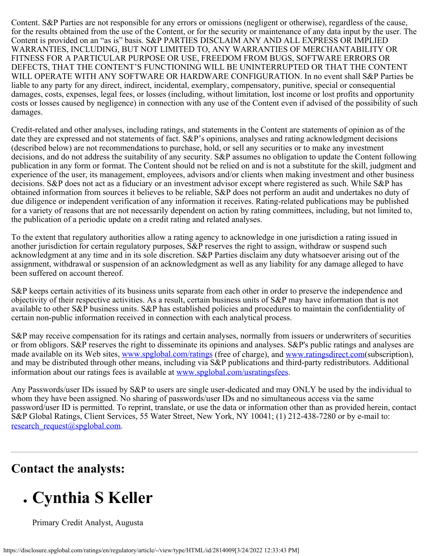Content. S&P Parties are not responsible for any errors or omissions (negligent or otherwise), regardless of the cause, for the results obtained from the use of the Content, or for the security or maintenance of any data input by the user. The Content is provided on an "as is" basis. S&P PARTIES DISCLAIM ANY AND ALL EXPRESS OR IMPLIED WARRANTIES, INCLUDING, BUT NOT LIMITED TO, ANY WARRANTIES OF MERCHANTABILITY OR FITNESS FOR A PARTICULAR PURPOSE OR USE, FREEDOM FROM BUGS, SOFTWARE ERRORS OR DEFECTS, THAT THE CONTENT'S FUNCTIONING WILL BE UNINTERRUPTED OR THAT THE CONTENT WILL OPERATE WITH ANY SOFTWARE OR HARDWARE CONFIGURATION. In no event shall S&P Parties be liable to any party for any direct, indirect, incidental, exemplary, compensatory, punitive, special or consequential damages, costs, expenses, legal fees, or losses (including, without limitation, lost income or lost profits and opportunity costs or losses caused by negligence) in connection with any use of the Content even if advised of the possibility of such damages.

Credit-related and other analyses, including ratings, and statements in the Content are statements of opinion as of the date they are expressed and not statements of fact. S&P's opinions, analyses and rating acknowledgment decisions (described below) are not recommendations to purchase, hold, or sell any securities or to make any investment decisions, and do not address the suitability of any security. S&P assumes no obligation to update the Content following publication in any form or format. The Content should not be relied on and is not a substitute for the skill, judgment and experience of the user, its management, employees, advisors and/or clients when making investment and other business decisions. S&P does not act as a fiduciary or an investment advisor except where registered as such. While S&P has obtained information from sources it believes to be reliable, S&P does not perform an audit and undertakes no duty of due diligence or independent verification of any information it receives. Rating-related publications may be published for a variety of reasons that are not necessarily dependent on action by rating committees, including, but not limited to, the publication of a periodic update on a credit rating and related analyses.

To the extent that regulatory authorities allow a rating agency to acknowledge in one jurisdiction a rating issued in another jurisdiction for certain regulatory purposes, S&P reserves the right to assign, withdraw or suspend such acknowledgment at any time and in its sole discretion. S&P Parties disclaim any duty whatsoever arising out of the assignment, withdrawal or suspension of an acknowledgment as well as any liability for any damage alleged to have been suffered on account thereof.

S&P keeps certain activities of its business units separate from each other in order to preserve the independence and objectivity of their respective activities. As a result, certain business units of S&P may have information that is not available to other S&P business units. S&P has established policies and procedures to maintain the confidentiality of certain non-public information received in connection with each analytical process.

S&P may receive compensation for its ratings and certain analyses, normally from issuers or underwriters of securities or from obligors. S&P reserves the right to disseminate its opinions and analyses. S&P's public ratings and analyses are made available on its Web sites, [www.spglobal.com/ratings](https://www.standardandpoors.com/ratings) (free of charge), and [www.ratingsdirect.com\(](http://www.ratingsdirect.com/)subscription), and may be distributed through other means, including via S&P publications and third-party redistributors. Additional information about our ratings fees is available at [www.spglobal.com/usratingsfees](https://www.spglobal.com/usratingsfees).

Any Passwords/user IDs issued by S&P to users are single user-dedicated and may ONLY be used by the individual to whom they have been assigned. No sharing of passwords/user IDs and no simultaneous access via the same password/user ID is permitted. To reprint, translate, or use the data or information other than as provided herein, contact S&P Global Ratings, Client Services, 55 Water Street, New York, NY 10041; (1) 212-438-7280 or by e-mail to: research request@spglobal.com.

### **Contact the analysts:**

# **Cynthia S Keller**

Primary Credit Analyst, Augusta